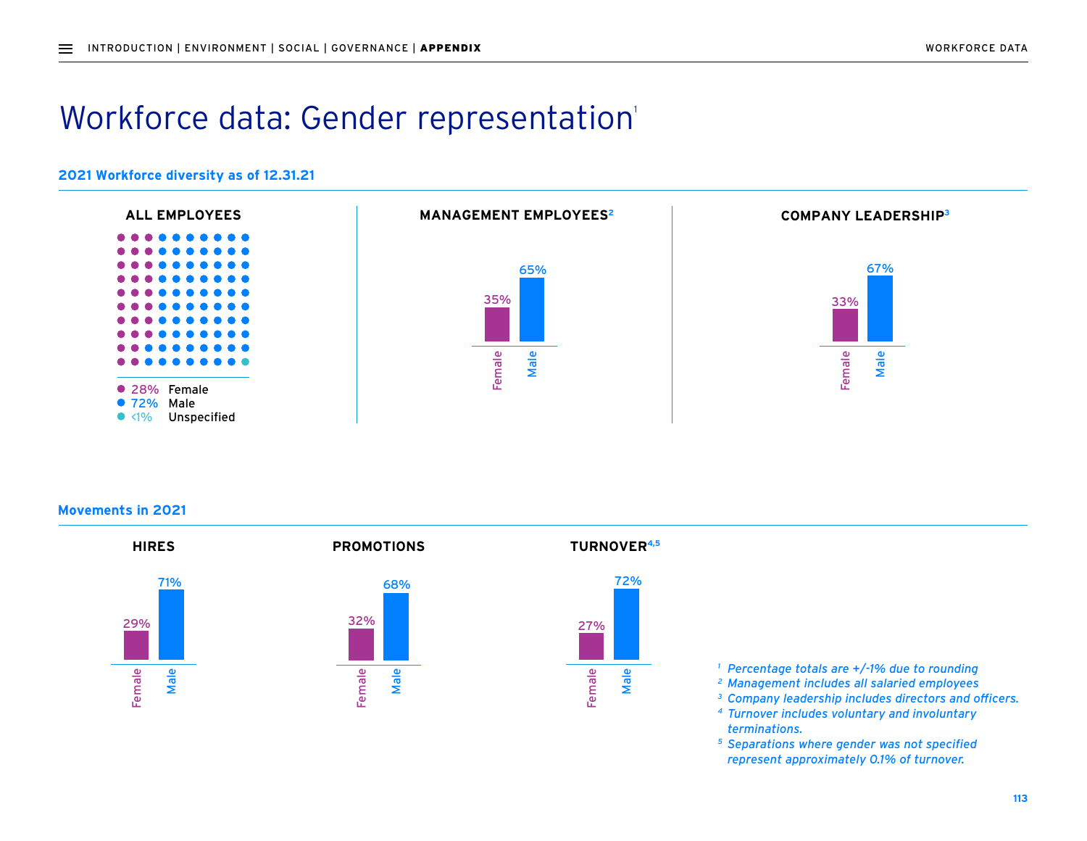# Workforce data: Gender representation'

## **2021 Workforce diversity as of 12.31.21**



**Movements in 2021**

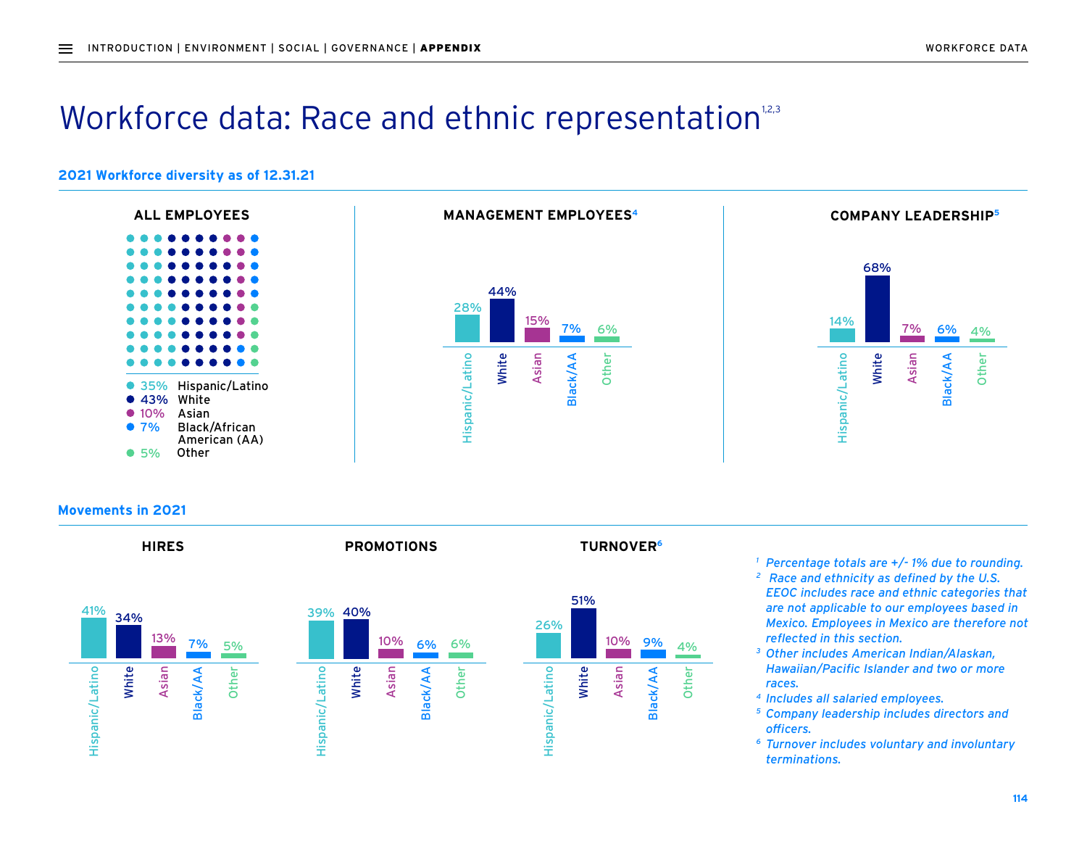# Workforce data: Race and ethnic representation<sup>12,3</sup>

## **2021 Workforce diversity as of 12.31.21**







### **Movements in 2021**



- *<sup>1</sup> Percentage totals are +/- 1% due to rounding.*
- *2 Race and ethnicity as defined by the U.S. EEOC includes race and ethnic categories that are not applicable to our employees based in Mexico. Employees in Mexico are therefore not reflected in this section.*
- *<sup>3</sup> Other includes American Indian/Alaskan, Hawaiian/Pacific Islander and two or more races.*
- *<sup>4</sup> Includes all salaried employees.*
- *<sup>5</sup> Company leadership includes directors and officers.*
- *<sup>6</sup> Turnover includes voluntary and involuntary terminations.*